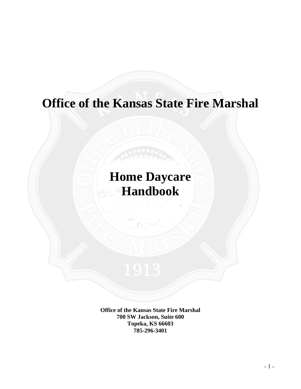# **Office of the Kansas State Fire Marshal**

# **Home Daycare Handbook**

**Office of the Kansas State Fire Marshal 700 SW Jackson, Suite 600 Topeka, KS 66603 785-296-3401**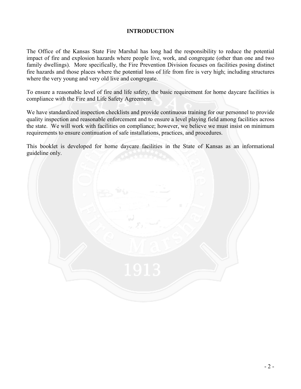# **INTRODUCTION**

The Office of the Kansas State Fire Marshal has long had the responsibility to reduce the potential impact of fire and explosion hazards where people live, work, and congregate (other than one and two family dwellings). More specifically, the Fire Prevention Division focuses on facilities posing distinct fire hazards and those places where the potential loss of life from fire is very high; including structures where the very young and very old live and congregate.

To ensure a reasonable level of fire and life safety, the basic requirement for home daycare facilities is compliance with the Fire and Life Safety Agreement.

We have standardized inspection checklists and provide continuous training for our personnel to provide quality inspection and reasonable enforcement and to ensure a level playing field among facilities across the state. We will work with facilities on compliance; however, we believe we must insist on minimum requirements to ensure continuation of safe installations, practices, and procedures.

This booklet is developed for home daycare facilities in the State of Kansas as an informational guideline only.

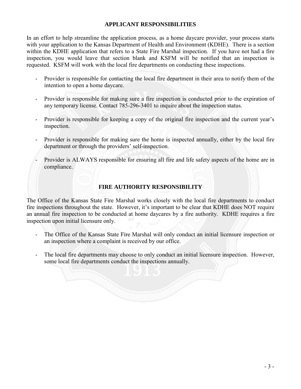### **APPLICANT RESPONSIBILITIES**

In an effort to help streamline the application process, as a home daycare provider, your process starts with your application to the Kansas Department of Health and Environment (KDHE). There is a section within the KDHE application that refers to a State Fire Marshal inspection. If you have not had a fire inspection, you would leave that section blank and KSFM will be notified that an inspection is requested. KSFM will work with the local fire departments on conducting these inspections.

- Provider is responsible for contacting the local fire department in their area to notify them of the intention to open a home daycare.
- Provider is responsible for making sure a fire inspection is conducted prior to the expiration of any temporary license. Contact 785-296-3401 to inquire about the inspection status.
- Provider is responsible for keeping a copy of the original fire inspection and the current year's inspection.
- Provider is responsible for making sure the home is inspected annually, either by the local fire department or through the providers' self-inspection.
- Provider is ALWAYS responsible for ensuring all fire and life safety aspects of the home are in compliance.

# **FIRE AUTHORITY RESPONSIBILITY**

The Office of the Kansas State Fire Marshal works closely with the local fire departments to conduct fire inspections throughout the state. However, it's important to be clear that KDHE does NOT require an annual fire inspection to be conducted at home daycares by a fire authority. KDHE requires a fire inspection upon initial licensure only.

- The Office of the Kansas State Fire Marshal will only conduct an initial licensure inspection or an inspection where a complaint is received by our office.
- The local fire departments may choose to only conduct an initial licensure inspection. However, some local fire departments conduct the inspections annually.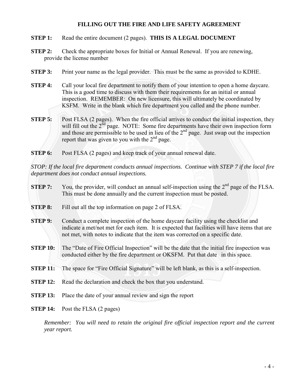### **FILLING OUT THE FIRE AND LIFE SAFETY AGREEMENT**

- **STEP 1:** Read the entire document (2 pages). **THIS IS A LEGAL DOCUMENT**
- **STEP 2:** Check the appropriate boxes for Initial or Annual Renewal. If you are renewing, provide the license number
- **STEP 3:** Print your name as the legal provider. This must be the same as provided to KDHE.
- **STEP 4:** Call your local fire department to notify them of your intention to open a home daycare. This is a good time to discuss with them their requirements for an initial or annual inspection. REMEMBER: On new licensure, this will ultimately be coordinated by KSFM. Write in the blank which fire department you called and the phone number.
- **STEP 5:** Post FLSA (2 pages). When the fire official arrives to conduct the initial inspection, they will fill out the 2<sup>nd</sup> page. NOTE: Some fire departments have their own inspection form and those are permissible to be used in lieu of the  $2<sup>nd</sup>$  page. Just swap out the inspection report that was given to you with the  $2<sup>nd</sup>$  page.
- **STEP 6:** Post FLSA (2 pages) and keep track of your annual renewal date.

*STOP: If the local fire department conducts annual inspections. Continue with STEP 7 if the local fire department does not conduct annual inspections.* 

| <b>STEP 7:</b>  | You, the provider, will conduct an annual self-inspection using the 2 <sup>nd</sup> page of the FLSA.<br>This must be done annually and the current inspection must be posted.                                                                                         |  |  |  |  |  |
|-----------------|------------------------------------------------------------------------------------------------------------------------------------------------------------------------------------------------------------------------------------------------------------------------|--|--|--|--|--|
| <b>STEP 8:</b>  | Fill out all the top information on page 2 of FLSA.                                                                                                                                                                                                                    |  |  |  |  |  |
| <b>STEP 9:</b>  | Conduct a complete inspection of the home daycare facility using the checklist and<br>indicate a met/not met for each item. It is expected that facilities will have items that are<br>not met, with notes to indicate that the item was corrected on a specific date. |  |  |  |  |  |
| <b>STEP 10:</b> | The "Date of Fire Official Inspection" will be the date that the initial fire inspection was<br>conducted either by the fire department or OKSFM. Put that date in this space.                                                                                         |  |  |  |  |  |
| <b>STEP 11:</b> | The space for "Fire Official Signature" will be left blank, as this is a self-inspection.                                                                                                                                                                              |  |  |  |  |  |
| <b>STEP 12:</b> | Read the declaration and check the box that you understand.                                                                                                                                                                                                            |  |  |  |  |  |
| <b>STEP 13:</b> | Place the date of your annual review and sign the report                                                                                                                                                                                                               |  |  |  |  |  |
| <b>STEP 14:</b> | Post the FLSA (2 pages)                                                                                                                                                                                                                                                |  |  |  |  |  |

*Remember: You will need to retain the original fire official inspection report and the current year report.*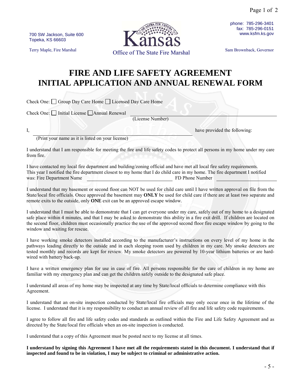700 SW Jackson, Suite 600 Topeka, KS 66603



phone: 785-296-3401 fax: 785-296-0151 www.ksfm.ks.gov

# **FIRE AND LIFE SAFETY AGREEMENT INITIAL APPLICATION AND ANNUAL RENEWAL FORM**

Check One:  $\Box$  Group Day Care Home  $\Box$  Licensed Day Care Home

Check One:  $\Box$  Initial License  $\Box$  Annual Renewal

(License Number)

I, have provided the following:

(Print your name as it is listed on your license)

I understand that I am responsible for meeting the fire and life safety codes to protect all persons in my home under my care from fire.

I have contacted my local fire department and building/zoning official and have met all local fire safety requirements. This year I notified the fire department closest to my home that I do child care in my home. The fire department I notified was: Fire Department Name

I understand that my basement or second floor can NOT be used for child care until I have written approval on file from the State/local fire officials. Once approved the basement may **ONLY** be used for child care if there are at least two separate and remote exits to the outside, only **ONE** exit can be an approved escape window.

I understand that I must be able to demonstrate that I can get everyone under my care, safely out of my home to a designated safe place within 4 minutes, and that I may be asked to demonstrate this ability in a fire exit drill. If children are located on the second floor, children must occasionally practice the use of the approved second floor fire escape window by going to the window and waiting for rescue.

I have working smoke detectors installed according to the manufacturer's instructions on every level of my home in the pathways leading directly to the outside and in each sleeping room used by children in my care. My smoke detectors are tested monthly and records are kept for review. My smoke detectors are powered by 10-year lithium batteries or are hardwired with battery back-up.

I have a written emergency plan for use in case of fire. All persons responsible for the care of children in my home are familiar with my emergency plan and can get the children safely outside to the designated safe place.

I understand all areas of my home may be inspected at any time by State/local officials to determine compliance with this Agreement.

I understand that an on-site inspection conducted by State/local fire officials may only occur once in the lifetime of the license. I understand that it is my responsibility to conduct an annual review of all fire and life safety code requirements.

I agree to follow all fire and life safety codes and standards as outlined within the Fire and Life Safety Agreement and as directed by the State/local fire officials when an on-site inspection is conducted.

I understand that a copy of this Agreement must be posted next to my license at all times.

**I understand by signing this Agreement I have met all the requirements stated in this document. I understand that if inspected and found to be in violation, I may be subject to criminal or administrative action.**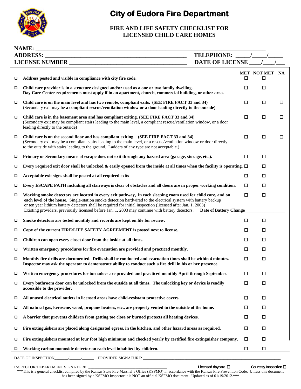

# **City of Eudora Fire Department**

# **FIRE AND LIFE SAFETY CHECKLIST FOR LICENSED CHILD CARE HOMES**

| <b>NAME:</b> |                                                                                                                                                                                                                                                                                                                                                                                                                                                                              |   |                    |   |  |  |  |
|--------------|------------------------------------------------------------------------------------------------------------------------------------------------------------------------------------------------------------------------------------------------------------------------------------------------------------------------------------------------------------------------------------------------------------------------------------------------------------------------------|---|--------------------|---|--|--|--|
|              | <b>ADDRESS:</b><br>TELEPHONE:<br><u> 2000 - Jan James James James James James James James James James James James James James James James James J</u>                                                                                                                                                                                                                                                                                                                        |   |                    |   |  |  |  |
|              | DATE OF LICENSE                                                                                                                                                                                                                                                                                                                                                                                                                                                              |   |                    |   |  |  |  |
| $\Box$       | Address posted and visible in compliance with city fire code.                                                                                                                                                                                                                                                                                                                                                                                                                | □ | MET NOTMET NA<br>□ |   |  |  |  |
| $\Box$       | Child care provider is in a structure designed and/or used as a one or two family dwelling.<br>Day Care Center requirements must apply if in an apartment, church, commercial building, or other area.                                                                                                                                                                                                                                                                       | □ | □                  |   |  |  |  |
| $\Box$       | Child care is on the main level and has two remote, compliant exits. (SEE FIRE FACT 33 and 34)<br>(Secondary exit may be a compliant rescue/ventilation window or a door leading directly to the outside)                                                                                                                                                                                                                                                                    | □ | $\Box$             | □ |  |  |  |
| $\Box$       | Child care is in the basement area and has compliant exiting. (SEE FIRE FACT 33 and 34)<br>(Secondary exit may be compliant stairs leading to the main level, a compliant rescue/ventilation window, or a door<br>leading directly to the outside)                                                                                                                                                                                                                           | □ | □                  | □ |  |  |  |
| $\Box$       | Child care is on the second floor and has compliant exiting. (SEE FIRE FACT 33 and 34)<br>(Secondary exit may be a compliant stairs leading to the main level, or a rescue/ventilation window or door directly<br>to the outside with stairs leading to the ground. Ladders of any type are not acceptable.)                                                                                                                                                                 | □ | О                  | □ |  |  |  |
| □            | Primary or Secondary means of escape does not exit through any hazard area (garage, storage, etc.).                                                                                                                                                                                                                                                                                                                                                                          | □ | □                  |   |  |  |  |
| □            | Every required exit door shall be unlocked & easily opened from the inside at all times when the facility is operating. $\Box$                                                                                                                                                                                                                                                                                                                                               |   | □                  |   |  |  |  |
| □            | Acceptable exit signs shall be posted at all required exits                                                                                                                                                                                                                                                                                                                                                                                                                  | □ | $\Box$             |   |  |  |  |
| □            | Every ESCAPE PATH including all stairways is clear of obstacles and all doors are in proper working condition.                                                                                                                                                                                                                                                                                                                                                               | □ | □                  |   |  |  |  |
| $\Box$       | Working smoke detectors are located in every exit pathway, in each sleeping room used for child care, and on<br>each level of the house. Single-station smoke detection hardwired to the electrical system with battery backup<br>or ten year lithium battery detectors shall be required for initial inspection (licensed after Jan. 1, 2003)<br>Existing providers, previously licensed before Jan. 1, 2003 may continue with battery detectors.<br>Date of Battery Change | □ | $\Box$             |   |  |  |  |
| □            | Smoke detectors are tested monthly and records are kept on file for review.                                                                                                                                                                                                                                                                                                                                                                                                  | □ | $\Box$             |   |  |  |  |
| $\Box$       | Copy of the current FIRE/LIFE SAFETY AGREEMENT is posted next to license.                                                                                                                                                                                                                                                                                                                                                                                                    | □ | □                  |   |  |  |  |
| □            | Children can open every closet door from the inside at all times.                                                                                                                                                                                                                                                                                                                                                                                                            | □ | $\Box$             |   |  |  |  |
| □            | Written emergency procedures for fire evacuation are provided and practiced monthly.                                                                                                                                                                                                                                                                                                                                                                                         | □ | $\Box$             |   |  |  |  |
| □            | Monthly fire drills are documented. Drills shall be conducted and evacuation times shall be within 4 minutes.<br>Inspector may ask the operator to demonstrate ability to conduct such a fire drill in his or her presence.                                                                                                                                                                                                                                                  | □ | □                  |   |  |  |  |
| □            | Written emergency procedures for tornadoes are provided and practiced monthly April through September.                                                                                                                                                                                                                                                                                                                                                                       | □ | П                  |   |  |  |  |
| $\Box$       | Every bathroom door can be unlocked from the outside at all times. The unlocking key or device is readily<br>accessible to the provider.                                                                                                                                                                                                                                                                                                                                     | □ | □                  |   |  |  |  |
| $\Box$       | All unused electrical outlets in licensed areas have child-resistant protective covers.                                                                                                                                                                                                                                                                                                                                                                                      | □ | □                  |   |  |  |  |
| □            | All natural gas, kerosene, wood, propane heaters, etc., are properly vented to the outside of the home.                                                                                                                                                                                                                                                                                                                                                                      | □ | □                  |   |  |  |  |
| □            | A barrier that prevents children from getting too close or burned protects all heating devices.                                                                                                                                                                                                                                                                                                                                                                              | □ | □                  |   |  |  |  |
| □            | Fire extinguishers are placed along designated egress, in the kitchen, and other hazard areas as required.                                                                                                                                                                                                                                                                                                                                                                   | □ | □                  |   |  |  |  |
| □            | Fire extinguishers mounted at four foot high minimum and checked yearly by certified fire extinguisher company.                                                                                                                                                                                                                                                                                                                                                              | □ | □                  |   |  |  |  |
| □            | Working carbon monoxide detector on each level inhabited by children.                                                                                                                                                                                                                                                                                                                                                                                                        | □ | □                  |   |  |  |  |

DATE OF INSPECTION\_\_\_\_\_\_\_/\_\_\_\_\_\_/\_\_\_\_\_\_ PROVIDER SIGNATURE: \_\_\_\_\_\_\_\_\_\_\_\_\_\_\_\_\_\_\_\_\_\_\_\_\_\_\_\_\_\_\_\_\_\_\_\_\_\_\_\_\_\_\_\_\_\_\_\_\_\_\_\_\_\_\_\_\_\_\_\_\_\_\_\_\_\_\_\_\_\_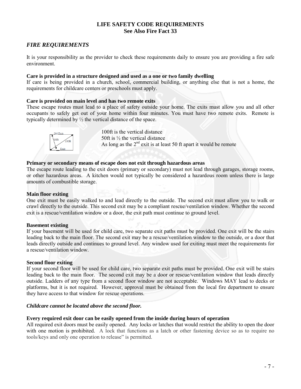### **LIFE SAFETY CODE REQUIREMENTS See Also Fire Fact 33**

# *FIRE REQUIREMENTS*

It is your responsibility as the provider to check these requirements daily to ensure you are providing a fire safe environment.

#### **Care is provided in a structure designed and used as a one or two family dwelling**

If care is being provided in a church, school, commercial building, or anything else that is not a home, the requirements for childcare centers or preschools must apply.

#### **Care is provided on main level and has two remote exits**

These escape routes must lead to a place of safety outside your home. The exits must allow you and all other occupants to safely get out of your home within four minutes. You must have two remote exits. Remote is typically determined by ½ the vertical distance of the space.



 100ft is the vertical distance 50ft is ½ the vertical distance As long as the  $2<sup>nd</sup>$  exit is at least 50 ft apart it would be remote

#### **Primary or secondary means of escape does not exit through hazardous areas**

The escape route leading to the exit doors (primary or secondary) must not lead through garages, storage rooms, or other hazardous areas. A kitchen would not typically be considered a hazardous room unless there is large amounts of combustible storage.

#### **Main floor exiting**

One exit must be easily walked to and lead directly to the outside. The second exit must allow you to walk or crawl directly to the outside. This second exit may be a compliant rescue/ventilation window. Whether the second exit is a rescue/ventilation window or a door, the exit path must continue to ground level.

#### **Basement existing**

If your basement will be used for child care, two separate exit paths must be provided. One exit will be the stairs leading back to the main floor. The second exit may be a rescue/ventilation window to the outside, or a door that leads directly outside and continues to ground level. Any window used for exiting must meet the requirements for a rescue/ventilation window.

#### **Second floor exiting**

If your second floor will be used for child care, two separate exit paths must be provided. One exit will be stairs leading back to the main floor. The second exit may be a door or rescue/ventilation window that leads directly outside. Ladders of any type from a second floor window are not acceptable. Windows MAY lead to decks or platforms, but it is not required. However, approval must be obtained from the local fire department to ensure they have access to that window for rescue operations.

#### *Childcare cannot be located above the second floor.*

#### **Every required exit door can be easily opened from the inside during hours of operation**

All required exit doors must be easily opened. Any locks or latches that would restrict the ability to open the door with one motion is prohibited. A lock that functions as a latch or other fastening device so as to require no tools/keys and only one operation to release" is permitted.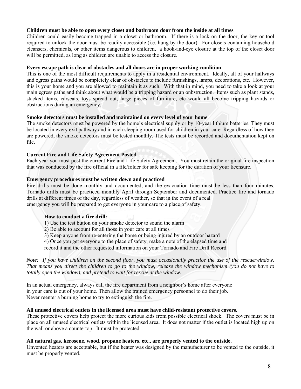#### **Children must be able to open every closet and bathroom door from the inside at all times**

Children could easily become trapped in a closet or bathroom. If there is a lock on the door, the key or tool required to unlock the door must be readily accessible (i.e. hung by the door). For closets containing household cleansers, chemicals, or other items dangerous to children, a hook-and-eye closure at the top of the closet door will be permitted, as long as children are unable to access the closure.

#### **Every escape path is clear of obstacles and all doors are in proper working condition**

This is one of the most difficult requirements to apply in a residential environment. Ideally, all of your hallways and egress paths would be completely clear of obstacles to include furnishings, lamps, decorations, etc. However, this is your home and you are allowed to maintain it as such. With that in mind, you need to take a look at your main egress paths and think about what would be a tripping hazard or an onbstruction. Items such as plant stands, stacked items, carseats, toys spread out, large pieces of furniture, etc would all become tripping hazards or obstructions during an emergency.

#### **Smoke detectors must be installed and maintained on every level of your home**

The smoke detectors must be powered by the home's electrical supply or by 10-year lithium batteries. They must be located in every exit pathway and in each sleeping room used for children in your care. Regardless of how they are powered, the smoke detectors must be tested monthly. The tests must be recorded and documentation kept on file.

#### **Current Fire and Life Safety Agreement Posted**

Each year you must post the current Fire and Life Safety Agreement. You must retain the original fire inspection that was conducted by the fire official in a file/folder for safe keeping for the duration of your licensure.

#### **Emergency procedures must be written down and practiced**

Fire drills must be done monthly and documented, and the evacuation time must be less than four minutes. Tornado drills must be practiced monthly April through September and documented. Practice fire and tornado drills at different times of the day, regardless of weather, so that in the event of a real emergency you will be prepared to get everyone in your care to a place of safety.

#### **How to conduct a fire drill:**

- 1) Use the test button on your smoke detector to sound the alarm
- 2) Be able to account for all those in your care at all times
- 3) Keep anyone from re-entering the home or being injured by an outdoor hazard
- 4) Once you get everyone to the place of safety, make a note of the elapsed time and

record it and the other requested information on your Tornado and Fire Drill Record

*Note: If you have children on the second floor, you must occasionally practice the use of the rescue/window. That means you direct the children to go to the window, release the window mechanism (you do not have to totally open the window), and pretend to wait for rescue at the window.* 

In an actual emergency, always call the fire department from a neighbor's home after everyone in your care is out of your home. Then allow the trained emergency personnel to do their job. Never reenter a burning home to try to extinguish the fire.

#### **All unused electrical outlets in the licensed area must have child-resistant protective covers.**

These protective covers help protect the more curious kids from possible electrical shock. The covers must be in place on all unused electrical outlets within the licensed area. It does not matter if the outlet is located high up on the wall or above a countertop. It must be protected.

#### **All natural gas, kerosene, wood, propane heaters, etc., are properly vented to the outside.**

Unvented heaters are acceptable, but if the heater was designed by the manufacturer to be vented to the outside, it must be properly vented.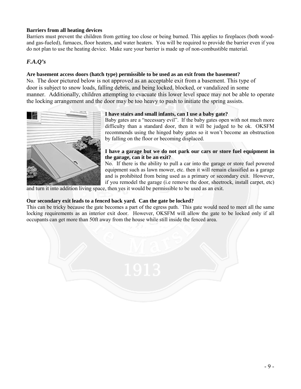#### **Barriers from all heating devices**

Barriers must prevent the children from getting too close or being burned. This applies to fireplaces (both woodand gas-fueled), furnaces, floor heaters, and water heaters. You will be required to provide the barrier even if you do not plan to use the heating device. Make sure your barrier is made up of non-combustible material.

## *F.A.Q's*

#### **Are basement access doors (hatch type) permissible to be used as an exit from the basement?**

No. The door pictured below is not approved as an acceptable exit from a basement. This type of door is subject to snow loads, falling debris, and being locked, blocked, or vandalized in some manner. Additionally, children attempting to evacuate this lower level space may not be able to operate the locking arrangement and the door may be too heavy to push to initiate the spring assists.



#### **I have stairs and small infants, can I use a baby gate?**

Baby gates are a "necessary evil". If the baby gates open with not much more difficulty than a standard door, then it will be judged to be ok. OKSFM recommends using the hinged baby gates so it won't become an obstruction by falling on the floor or becoming displaced.

#### **I have a garage but we do not park our cars or store fuel equipment in the garage, can it be an exit?**

No. If there is the ability to pull a car into the garage or store fuel powered equipment such as lawn mower, etc. then it will remain classified as a garage and is prohibited from being used as a primary or secondary exit. However, if you remodel the garage (i.e remove the door, sheetrock, install carpet, etc)

and turn it into addition living space, then yes it would be permissible to be used as an exit.

#### **Our secondary exit leads to a fenced back yard. Can the gate be locked?**

This can be tricky because the gate becomes a part of the egress path. This gate would need to meet all the same locking requirements as an interior exit door. However, OKSFM will allow the gate to be locked only if all occupants can get more than 50ft away from the house while still inside the fenced area.